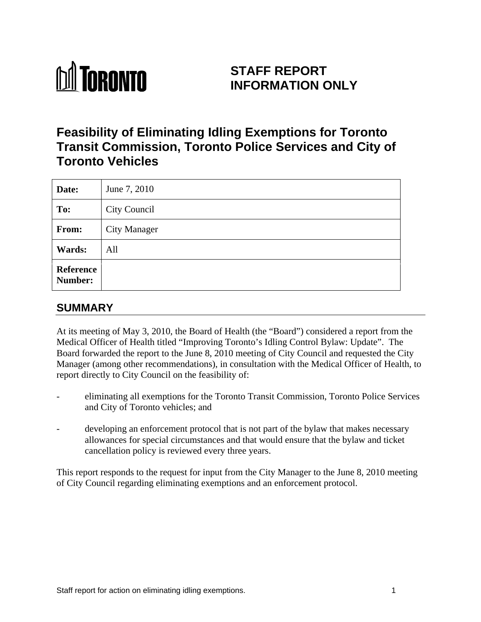

# **STAFF REPORT INFORMATION ONLY**

# **Feasibility of Eliminating Idling Exemptions for Toronto Transit Commission, Toronto Police Services and City of Toronto Vehicles**

| Date:         | June 7, 2010 |
|---------------|--------------|
| To:           | City Council |
| From:         | City Manager |
| <b>Wards:</b> | All          |
| Reference     |              |

# **SUMMARY**

At its meeting of May 3, 2010, the Board of Health (the "Board") considered a report from the Medical Officer of Health titled "Improving Toronto's Idling Control Bylaw: Update". The Board forwarded the report to the June 8, 2010 meeting of City Council and requested the City Manager (among other recommendations), in consultation with the Medical Officer of Health, to report directly to City Council on the feasibility of:

- eliminating all exemptions for the Toronto Transit Commission, Toronto Police Services and City of Toronto vehicles; and
- developing an enforcement protocol that is not part of the bylaw that makes necessary allowances for special circumstances and that would ensure that the bylaw and ticket cancellation policy is reviewed every three years.

This report responds to the request for input from the City Manager to the June 8, 2010 meeting of City Council regarding eliminating exemptions and an enforcement protocol.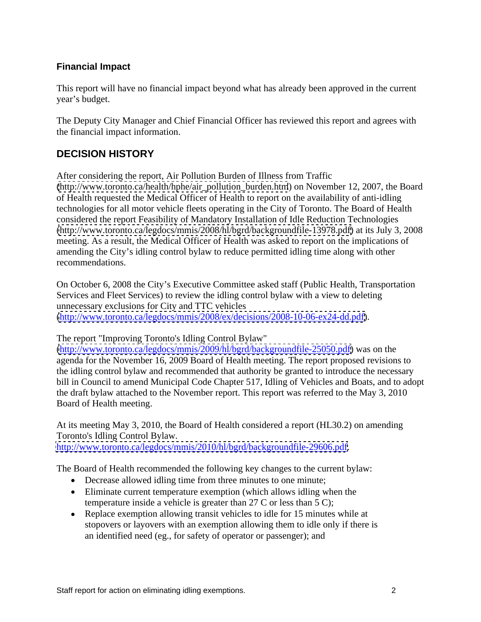### **Financial Impact**

This report will have no financial impact beyond what has already been approved in the current year's budget.

The Deputy City Manager and Chief Financial Officer has reviewed this report and agrees with the financial impact information.

## **DECISION HISTORY**

After considering the report, Air Pollution Burden of Illness from Traffic [\(http://www.toronto.ca/health/hphe/air\\_pollution\\_burden.htm](http://www.toronto.ca/health/hphe/air_pollution_burden.htm)) on November 12, 2007, the Board of Health requested the Medical Officer of Health to report on the availability of anti-idling technologies for all motor vehicle fleets operating in the City of Toronto. The Board of Health considered the report Feasibility of Mandatory Installation of Idle Reduction Technologies [\(http://www.toronto.ca/legdocs/mmis/2008/hl/bgrd/backgroundfile-13978.pdf\)](http://www.toronto.ca/legdocs/mmis/2008/hl/bgrd/backgroundfile-13978.pdf) at its July 3, 2008 meeting. As a result, the Medical Officer of Health was asked to report on the implications of amending the City's idling control bylaw to reduce permitted idling time along with other recommendations.

On October 6, 2008 the City's Executive Committee asked staff (Public Health, Transportation Services and Fleet Services) to review the idling control bylaw with a view to deleting unnecessary exclusions for City and TTC vehicles [\(http://www.toronto.ca/legdocs/mmis/2008/ex/decisions/2008-10-06-ex24-dd.pdf\)](http://www.toronto.ca/legdocs/mmis/2008/ex/decisions/2008-10-06-ex24-dd.pdf).

The report "Improving Toronto's Idling Control Bylaw"

[\(http://www.toronto.ca/legdocs/mmis/2009/hl/bgrd/backgroundfile-25050.pdf\)](http://www.toronto.ca/legdocs/mmis/2009/hl/bgrd/backgroundfile-25050.pdf) was on the agenda for the November 16, 2009 Board of Health meeting. The report proposed revisions to the idling control bylaw and recommended that authority be granted to introduce the necessary bill in Council to amend Municipal Code Chapter 517, Idling of Vehicles and Boats, and to adopt the draft bylaw attached to the November report. This report was referred to the May 3, 2010 Board of Health meeting.

At its meeting May 3, 2010, the Board of Health considered a report (HL30.2) on amending Toronto's Idling Control Bylaw. [http://www.toronto.ca/legdocs/mmis/2010/hl/bgrd/backgroundfile-29606.pdf.](http://www.toronto.ca/legdocs/mmis/2010/hl/bgrd/backgroundfile-29606.pdf)

The Board of Health recommended the following key changes to the current bylaw:

- Decrease allowed idling time from three minutes to one minute;
- Eliminate current temperature exemption (which allows idling when the temperature inside a vehicle is greater than 27 C or less than 5 C);
- Replace exemption allowing transit vehicles to idle for 15 minutes while at stopovers or layovers with an exemption allowing them to idle only if there is an identified need (eg., for safety of operator or passenger); and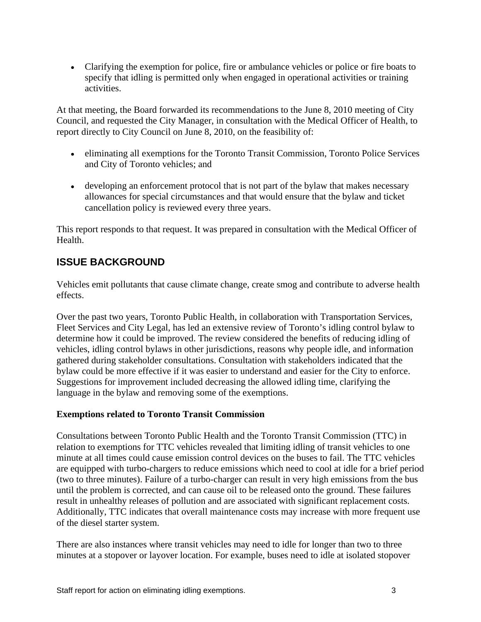Clarifying the exemption for police, fire or ambulance vehicles or police or fire boats to specify that idling is permitted only when engaged in operational activities or training activities.

At that meeting, the Board forwarded its recommendations to the June 8, 2010 meeting of City Council, and requested the City Manager, in consultation with the Medical Officer of Health, to report directly to City Council on June 8, 2010, on the feasibility of:

- eliminating all exemptions for the Toronto Transit Commission, Toronto Police Services and City of Toronto vehicles; and
- developing an enforcement protocol that is not part of the bylaw that makes necessary allowances for special circumstances and that would ensure that the bylaw and ticket cancellation policy is reviewed every three years.

This report responds to that request. It was prepared in consultation with the Medical Officer of Health.

## **ISSUE BACKGROUND**

Vehicles emit pollutants that cause climate change, create smog and contribute to adverse health effects.

Over the past two years, Toronto Public Health, in collaboration with Transportation Services, Fleet Services and City Legal, has led an extensive review of Toronto's idling control bylaw to determine how it could be improved. The review considered the benefits of reducing idling of vehicles, idling control bylaws in other jurisdictions, reasons why people idle, and information gathered during stakeholder consultations. Consultation with stakeholders indicated that the bylaw could be more effective if it was easier to understand and easier for the City to enforce. Suggestions for improvement included decreasing the allowed idling time, clarifying the language in the bylaw and removing some of the exemptions.

#### **Exemptions related to Toronto Transit Commission**

Consultations between Toronto Public Health and the Toronto Transit Commission (TTC) in relation to exemptions for TTC vehicles revealed that limiting idling of transit vehicles to one minute at all times could cause emission control devices on the buses to fail. The TTC vehicles are equipped with turbo-chargers to reduce emissions which need to cool at idle for a brief period (two to three minutes). Failure of a turbo-charger can result in very high emissions from the bus until the problem is corrected, and can cause oil to be released onto the ground. These failures result in unhealthy releases of pollution and are associated with significant replacement costs. Additionally, TTC indicates that overall maintenance costs may increase with more frequent use of the diesel starter system.

There are also instances where transit vehicles may need to idle for longer than two to three minutes at a stopover or layover location. For example, buses need to idle at isolated stopover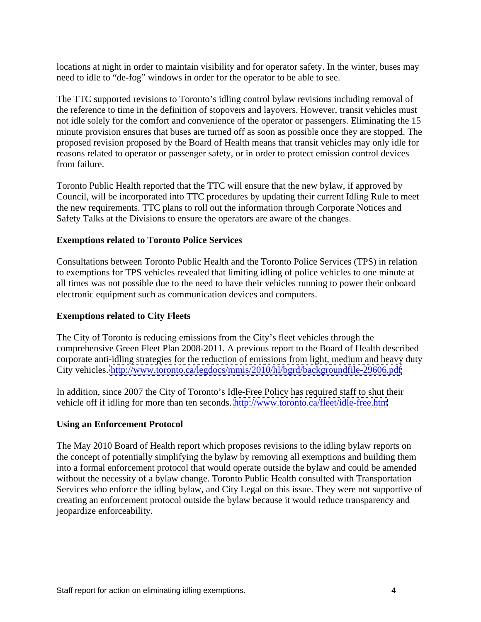locations at night in order to maintain visibility and for operator safety. In the winter, buses may need to idle to "de-fog" windows in order for the operator to be able to see.

The TTC supported revisions to Toronto's idling control bylaw revisions including removal of the reference to time in the definition of stopovers and layovers. However, transit vehicles must not idle solely for the comfort and convenience of the operator or passengers. Eliminating the 15 minute provision ensures that buses are turned off as soon as possible once they are stopped. The proposed revision proposed by the Board of Health means that transit vehicles may only idle for reasons related to operator or passenger safety, or in order to protect emission control devices from failure.

Toronto Public Health reported that the TTC will ensure that the new bylaw, if approved by Council, will be incorporated into TTC procedures by updating their current Idling Rule to meet the new requirements. TTC plans to roll out the information through Corporate Notices and Safety Talks at the Divisions to ensure the operators are aware of the changes.

#### **Exemptions related to Toronto Police Services**

Consultations between Toronto Public Health and the Toronto Police Services (TPS) in relation to exemptions for TPS vehicles revealed that limiting idling of police vehicles to one minute at all times was not possible due to the need to have their vehicles running to power their onboard electronic equipment such as communication devices and computers.

#### **Exemptions related to City Fleets**

The City of Toronto is reducing emissions from the City's fleet vehicles through the comprehensive Green Fleet Plan 2008-2011. A previous report to the Board of Health described corporate anti-idling strategies for the reduction of emissions from light, medium and heavy duty City vehicles. <http://www.toronto.ca/legdocs/mmis/2010/hl/bgrd/backgroundfile-29606.pdf>

In addition, since 2007 the City of Toronto's Idle-Free Policy has required staff to shut their vehicle off if idling for more than ten seconds.<http://www.toronto.ca/fleet/idle-free.htm>

#### **Using an Enforcement Protocol**

The May 2010 Board of Health report which proposes revisions to the idling bylaw reports on the concept of potentially simplifying the bylaw by removing all exemptions and building them into a formal enforcement protocol that would operate outside the bylaw and could be amended without the necessity of a bylaw change. Toronto Public Health consulted with Transportation Services who enforce the idling bylaw, and City Legal on this issue. They were not supportive of creating an enforcement protocol outside the bylaw because it would reduce transparency and jeopardize enforceability.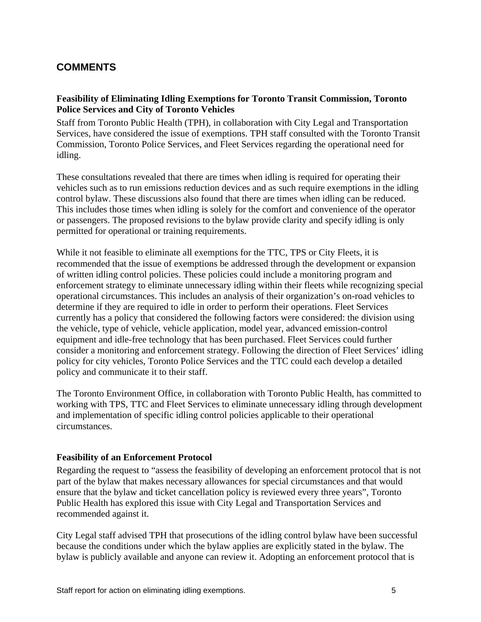### **COMMENTS**

#### **Feasibility of Eliminating Idling Exemptions for Toronto Transit Commission, Toronto Police Services and City of Toronto Vehicles**

Staff from Toronto Public Health (TPH), in collaboration with City Legal and Transportation Services, have considered the issue of exemptions. TPH staff consulted with the Toronto Transit Commission, Toronto Police Services, and Fleet Services regarding the operational need for idling. These consultations revealed that there are times when idling is required for operating their

vehicles such as to run emissions reduction devices and as such require exemptions in the idling control bylaw. These discussions also found that there are times when idling can be reduced. This includes those times when idling is solely for the comfort and convenience of the operator or passengers. The proposed revisions to the bylaw provide clarity and specify idling is only permitted for operational or training requirements.

While it not feasible to eliminate all exemptions for the TTC, TPS or City Fleets, it is recommended that the issue of exemptions be addressed through the development or expansion of written idling control policies. These policies could include a monitoring program and enforcement strategy to eliminate unnecessary idling within their fleets while recognizing special operational circumstances. This includes an analysis of their organization's on-road vehicles to determine if they are required to idle in order to perform their operations. Fleet Services currently has a policy that considered the following factors were considered: the division using the vehicle, type of vehicle, vehicle application, model year, advanced emission-control equipment and idle-free technology that has been purchased. Fleet Services could further consider a monitoring and enforcement strategy. Following the direction of Fleet Services' idling policy for city vehicles, Toronto Police Services and the TTC could each develop a detailed policy and communicate it to their staff.

The Toronto Environment Office, in collaboration with Toronto Public Health, has committed to working with TPS, TTC and Fleet Services to eliminate unnecessary idling through development and implementation of specific idling control policies applicable to their operational circumstances.

#### **Feasibility of an Enforcement Protocol**

Regarding the request to "assess the feasibility of developing an enforcement protocol that is not part of the bylaw that makes necessary allowances for special circumstances and that would ensure that the bylaw and ticket cancellation policy is reviewed every three years", Toronto Public Health has explored this issue with City Legal and Transportation Services and recommended against it.

City Legal staff advised TPH that prosecutions of the idling control bylaw have been successful because the conditions under which the bylaw applies are explicitly stated in the bylaw. The bylaw is publicly available and anyone can review it. Adopting an enforcement protocol that is